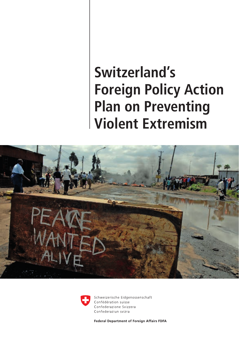### **Switzerland's Foreign Policy Action Plan on Preventing Violent Extremism**





Schweizerische Eidgenossenschaft Confédération suisse Confederazione Svizzera Confederaziun svizra

**Federal Department of Foreign Affairs FDFA**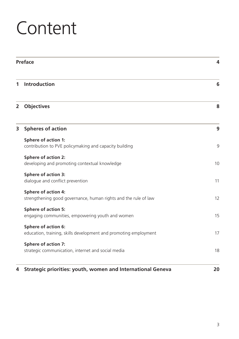### **Content**

| Preface        |                                                                                               | 4  |
|----------------|-----------------------------------------------------------------------------------------------|----|
| 1              | Introduction                                                                                  | 6  |
| $\overline{2}$ | <b>Objectives</b>                                                                             | 8  |
| 3              | <b>Spheres of action</b>                                                                      | 9  |
|                | Sphere of action 1:<br>contribution to PVE policymaking and capacity building                 | 9  |
|                | Sphere of action 2:<br>developing and promoting contextual knowledge                          | 10 |
|                | Sphere of action 3:<br>dialogue and conflict prevention                                       | 11 |
|                | <b>Sphere of action 4:</b><br>strengthening good governance, human rights and the rule of law | 12 |
|                | Sphere of action 5:<br>engaging communities, empowering youth and women                       | 15 |
|                | Sphere of action 6:<br>education, training, skills development and promoting employment       | 17 |
|                | Sphere of action 7:<br>strategic communication, internet and social media                     | 18 |
| 4              | Strategic priorities: youth, women and International Geneva                                   | 20 |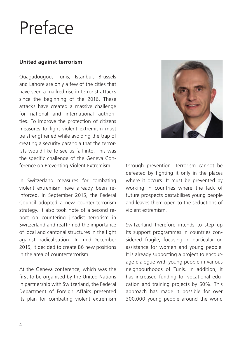### <span id="page-3-0"></span>Preface

#### **United against terrorism**

Ouagadougou, Tunis, Istanbul, Brussels and Lahore are only a few of the cities that have seen a marked rise in terrorist attacks since the beginning of the 2016. These attacks have created a massive challenge for national and international authorities. To improve the protection of citizens measures to fight violent extremism must be strengthened while avoiding the trap of creating a security paranoia that the terrorists would like to see us fall into. This was the specific challenge of the Geneva Conference on Preventing Violent Extremism.

In Switzerland measures for combating violent extremism have already been reinforced. In September 2015, the Federal Council adopted a new counter-terrorism strategy. It also took note of a second report on countering jihadist terrorism in Switzerland and reaffirmed the importance of local and cantonal structures in the fight against radicalisation. In mid-December 2015, it decided to create 86 new positions in the area of counterterrorism.

At the Geneva conference, which was the first to be organised by the United Nations in partnership with Switzerland, the Federal Department of Foreign Affairs presented its plan for combating violent extremism



through prevention. Terrorism cannot be defeated by fighting it only in the places where it occurs. It must be prevented by working in countries where the lack of future prospects destabilises young people and leaves them open to the seductions of violent extremism.

Switzerland therefore intends to step up its support programmes in countries considered fragile, focusing in particular on assistance for women and young people. It is already supporting a project to encourage dialogue with young people in various neighbourhoods of Tunis. In addition, it has increased funding for vocational education and training projects by 50%. This approach has made it possible for over 300,000 young people around the world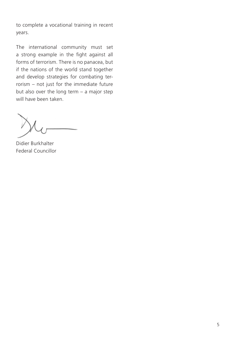to complete a vocational training in recent years.

The international community must set a strong example in the fight against all forms of terrorism. There is no panacea, but if the nations of the world stand together and develop strategies for combating terrorism – not just for the immediate future but also over the long term – a major step will have been taken.

Didier Burkhalter Federal Councillor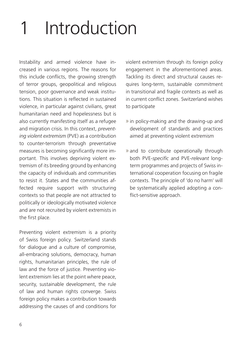# <span id="page-5-0"></span>**Introduction**

Instability and armed violence have increased in various regions. The reasons for this include conflicts, the growing strength of terror groups, geopolitical and religious tension, poor governance and weak institutions. This situation is reflected in sustained violence, in particular against civilians, great humanitarian need and hopelessness but is also currently manifesting itself as a refugee and migration crisis. In this context, *preventing violent extremism* (PVE) as a contribution to counter-terrorism through preventative measures is becoming significantly more important. This involves depriving violent extremism of its breeding ground by enhancing the capacity of individuals and communities to resist it. States and the communities affected require support with structuring contexts so that people are not attracted to politically or ideologically motivated violence and are not recruited by violent extremists in the first place.

Preventing violent extremism is a priority of Swiss foreign policy. Switzerland stands for dialogue and a culture of compromise, all-embracing solutions, democracy, human rights, humanitarian principles, the rule of law and the force of justice. Preventing violent extremism lies at the point where peace, security, sustainable development, the rule of law and human rights converge. Swiss foreign policy makes a contribution towards addressing the causes of and conditions for

violent extremism through its foreign policy engagement in the aforementioned areas. Tackling its direct and structural causes requires long-term, sustainable commitment in transitional and fragile contexts as well as in current conflict zones. Switzerland wishes to participate

- » in policy-making and the drawing-up and development of standards and practices aimed at preventing violent extremism
- » and to contribute operationally through both PVE-*specific* and PVE-*relevant* longterm programmes and projects of Swiss international cooperation focusing on fragile contexts. The principle of 'do no harm' will be systematically applied adopting a conflict-sensitive approach.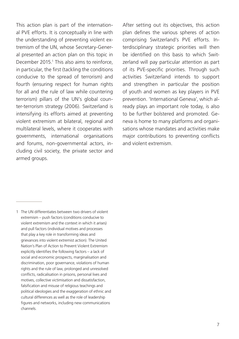This action plan is part of the international PVE efforts. It is conceptually in line with the understanding of preventing violent extremism of the UN, whose Secretary-General presented an action plan on this topic in December 2015.<sup>1</sup> This also aims to reinforce, in particular, the first (tackling the conditions conducive to the spread of terrorism) and fourth (ensuring respect for human rights for all and the rule of law while countering terrorism) pillars of the UN's global counter-terrorism strategy (2006). Switzerland is intensifying its efforts aimed at preventing violent extremism at bilateral, regional and multilateral levels, where it cooperates with governments, international organisations and forums, non-governmental actors, including civil society, the private sector and armed groups.

After setting out its objectives, this action plan defines the various spheres of action comprising Switzerland's PVE efforts. Interdisciplinary strategic priorities will then be identified on this basis to which Switzerland will pay particular attention as part of its PVE-specific priorities. Through such activities Switzerland intends to support and strengthen in particular the position of youth and women as key players in PVE prevention. 'International Geneva', which already plays an important role today, is also to be further bolstered and promoted. Geneva is home to many platforms and organisations whose mandates and activities make major contributions to preventing conflicts and violent extremism.

1 The UN differentiates between two drivers of violent extremism – push factors (conditions conducive to violent extremism and the context in which it arises) and pull factors (individual motives and processes that play a key role in transforming ideas and grievances into violent extremist action). The United Nation's Plan of Action to Prevent Violent Extremism explicitly identifies the following factors – a lack of social and economic prospects, marginalisation and discrimination, poor governance, violations of human rights and the rule of law, prolonged and unresolved conflicts, radicalisation in prisons, personal lives and motives, collective victimisation and dissatisfaction falsification and misuse of religious teachings and political ideologies and the exaggeration of ethnic and cultural differences as well as the role of leadership figures and networks, including new communications channels.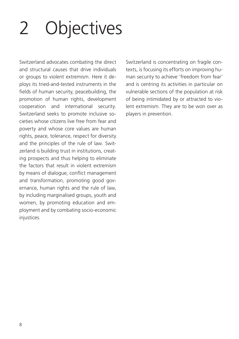# <span id="page-7-0"></span>2 Objectives

Switzerland advocates combating the direct and structural causes that drive individuals or groups to violent extremism. Here it deploys its tried-and-tested instruments in the fields of human security, peacebuilding, the promotion of human rights, development cooperation and international security. Switzerland seeks to promote inclusive societies whose citizens live free from fear and poverty and whose core values are human rights, peace, tolerance, respect for diversity and the principles of the rule of law. Switzerland is building trust in institutions, creating prospects and thus helping to eliminate the factors that result in violent extremism by means of dialogue, conflict management and transformation, promoting good governance, human rights and the rule of law, by including marginalised groups, youth and women, by promoting education and employment and by combating socio-economic injustices.

Switzerland is concentrating on fragile contexts, is focusing its efforts on improving human security to achieve 'freedom from fear' and is centring its activities in particular on vulnerable sections of the population at risk of being intimidated by or attracted to violent extremism. They are to be won over as players in prevention.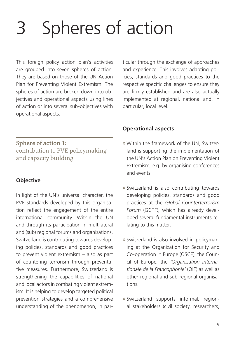## <span id="page-8-0"></span>Spheres of action

This foreign policy action plan's activities are grouped into seven spheres of action. They are based on those of the UN Action Plan for Preventing Violent Extremism. The spheres of action are broken down into objectives and operational aspects using lines of action or into several sub-objectives with operational aspects.

Sphere of action 1: contribution to PVE policymaking and capacity building

#### **Objective**

In light of the UN's universal character, the PVE standards developed by this organisation reflect the engagement of the entire international community. Within the UN and through its participation in multilateral and (sub) regional forums and organisations, Switzerland is contributing towards developing policies, standards and good practices to prevent violent extremism – also as part of countering terrorism through preventative measures. Furthermore, Switzerland is strengthening the capabilities of national and local actors in combating violent extremism. It is helping to develop targeted political prevention strategies and a comprehensive understanding of the phenomenon, in par-

ticular through the exchange of approaches and experience. This involves adapting policies, standards and good practices to the respective specific challenges to ensure they are firmly established and are also actually implemented at regional, national and, in particular, local level.

#### **Operational aspects**

- » Within the framework of the UN, Switzerland is supporting the implementation of the UN's Action Plan on Preventing Violent Extremism, e.g. by organising conferences and events.
- » Switzerland is also contributing towards developing policies, standards and good practices at the *Global Counterterrorism Forum* (GCTF), which has already developed several fundamental instruments relating to this matter.
- » Switzerland is also involved in policymaking at the Organization for Security and Co-operation in Europe (OSCE), the Council of Europe, the *'Organisation internationale de la Francophonie'* (OIF) as well as other regional and sub-regional organisations.
- » Switzerland supports informal, regional stakeholders (civil society, researchers,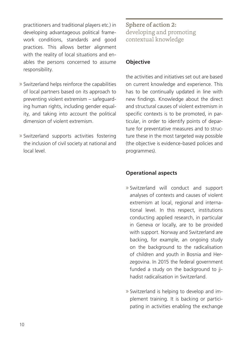<span id="page-9-0"></span>practitioners and traditional players etc.) in developing advantageous political framework conditions, standards and good practices. This allows better alignment with the reality of local situations and enables the persons concerned to assume responsibility.

- » Switzerland helps reinforce the capabilities of local partners based on its approach to preventing violent extremism – safeguarding human rights, including gender equality, and taking into account the political dimension of violent extremism.
- » Switzerland supports activities fostering the inclusion of civil society at national and local level.

Sphere of action 2: developing and promoting contextual knowledge

#### **Objective**

the activities and initiatives set out are based on current knowledge and experience. This has to be continually updated in line with new findings. Knowledge about the direct and structural causes of violent extremism in specific contexts is to be promoted, in particular, in order to identify points of departure for preventative measures and to structure these in the most targeted way possible (the objective is evidence-based policies and programmes).

#### **Operational aspects**

- » Switzerland will conduct and support analyses of contexts and causes of violent extremism at local, regional and international level. In this respect, institutions conducting applied research, in particular in Geneva or locally, are to be provided with support. Norway and Switzerland are backing, for example, an ongoing study on the background to the radicalisation of children and youth in Bosnia and Herzegovina. In 2015 the federal government funded a study on the background to jihadist radicalisation in Switzerland.
- » Switzerland is helping to develop and implement training. It is backing or participating in activities enabling the exchange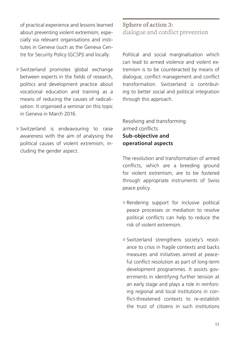<span id="page-10-0"></span>of practical experience and lessons learned about preventing violent extremism, especially via relevant organisations and institutes in Geneva (such as the Geneva Centre for Security Policy (GCSP)) and locally.

- » Switzerland promotes global exchange between experts in the fields of research, politics and development practice about vocational education and training as a means of reducing the causes of radicalisation. It organised a seminar on this topic in Geneva in March 2016.
- » Switzerland is endeavouring to raise awareness with the aim of analysing the political causes of violent extremism, including the gender aspect.

#### Sphere of action 3: dialogue and conflict prevention

Political and social marginalisation which can lead to armed violence and violent extremism is to be counteracted by means of dialogue, conflict management and conflict transformation. Switzerland is contributing to better social and political integration through this approach.

Resolving and transforming armed conflicts **Sub-objective and operational aspects**

The resolution and transformation of armed conflicts, which are a breeding ground for violent extremism, are to be fostered through appropriate instruments of Swiss peace policy.

- » Rendering support for inclusive political peace processes or mediation to resolve political conflicts can help to reduce the risk of violent extremism.
- » Switzerland strengthens society's resistance to crisis in fragile contexts and backs measures and initiatives aimed at peaceful conflict resolution as part of long-term development programmes. It assists governments in identifying further tension at an early stage and plays a role in reinforcing regional and local institutions in conflict-threatened contexts to re-establish the trust of citizens in such institutions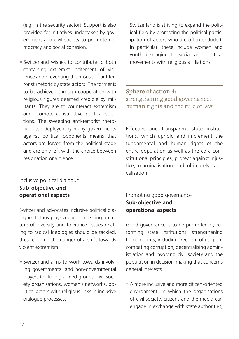<span id="page-11-0"></span>(e.g. in the security sector). Support is also provided for initiatives undertaken by government and civil society to promote democracy and social cohesion.

» Switzerland wishes to contribute to both containing extremist incitement of violence and preventing the misuse of antiterrorist rhetoric by state actors. The former is to be achieved through cooperation with religious figures deemed credible by militants. They are to counteract extremism and promote constructive political solutions. The sweeping anti-terrorist rhetoric often deployed by many governments against political opponents means that actors are forced from the political stage and are only left with the choice between resignation or violence.

#### Inclusive political dialogue **Sub-objective and operational aspects**

Switzerland advocates inclusive political dialogue. It thus plays a part in creating a culture of diversity and tolerance. Issues relating to radical ideologies should be tackled, thus reducing the danger of a shift towards violent extremism.

» Switzerland aims to work towards involving governmental and non-governmental players (including armed groups, civil society organisations, women's networks, political actors with religious links in inclusive dialogue processes.

» Switzerland is striving to expand the political field by promoting the political participation of actors who are often excluded. In particular, these include women and youth belonging to social and political movements with religious affiliations.

#### Sphere of action 4: strengthening good governance, human rights and the rule of law

Effective and transparent state institutions, which uphold and implement the fundamental and human rights of the entire population as well as the core constitutional principles, protect against injustice, marginalisation and ultimately radicalisation.

#### Promoting good governance **Sub-objective and operational aspects**

Good governance is to be promoted by reforming state institutions, strengthening human rights, including freedom of religion, combating corruption, decentralising administration and involving civil society and the population in decision-making that concerns general interests.

» A more inclusive and more citizen-oriented environment, in which the organisations of civil society, citizens and the media can engage in exchange with state authorities,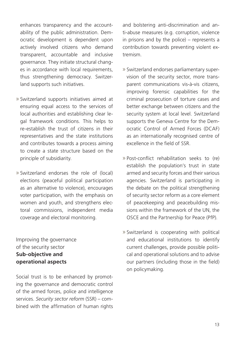enhances transparency and the accountability of the public administration. Democratic development is dependent upon actively involved citizens who demand transparent, accountable and inclusive governance. They initiate structural changes in accordance with local requirements, thus strengthening democracy. Switzerland supports such initiatives.

- » Switzerland supports initiatives aimed at ensuring equal access to the services of local authorities and establishing clear legal framework conditions. This helps to re-establish the trust of citizens in their representatives and the state institutions and contributes towards a process aiming to create a state structure based on the principle of subsidiarity.
- » Switzerland endorses the role of (local) elections (peaceful political participation as an alternative to violence), encourages voter participation, with the emphasis on women and youth, and strengthens electoral commissions, independent media coverage and electoral monitoring.

Improving the governance of the security sector **Sub-objective and operational aspects**

Social trust is to be enhanced by promoting the governance and democratic control of the armed forces, police and intelligence services. *Security sector reform* (SSR) – combined with the affirmation of human rights

and bolstering anti-discrimination and anti-abuse measures (e.g. corruption, violence in prisons and by the police) – represents a contribution towards preventing violent extremism.

- » Switzerland endorses parliamentary supervision of the security sector, more transparent communications vis-à-vis citizens, improving forensic capabilities for the criminal prosecution of torture cases and better exchange between citizens and the security system at local level. Switzerland supports the Geneva Centre for the Democratic Control of Armed Forces (DCAF) as an internationally recognised centre of excellence in the field of SSR.
- » Post-conflict rehabilitation seeks to (re) establish the population's trust in state armed and security forces and their various agencies. Switzerland is participating in the debate on the political strengthening of security sector reform as a core element of peacekeeping and peacebuilding missions within the framework of the UN, the OSCE and the Partnership for Peace (PfP).
- » Switzerland is cooperating with political and educational institutions to identify current challenges, provide possible political and operational solutions and to advise our partners (including those in the field) on policymaking.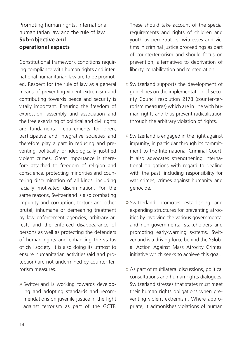#### Promoting human rights, international humanitarian law and the rule of law **Sub-objective and operational aspects**

Constitutional framework conditions requiring compliance with human rights and international humanitarian law are to be promoted. Respect for the rule of law as a general means of preventing violent extremism and contributing towards peace and security is vitally important. Ensuring the freedom of expression, assembly and association and the free exercising of political and civil rights are fundamental requirements for open, participative and integrative societies and therefore play a part in reducing and preventing politically or ideologically justified violent crimes. Great importance is therefore attached to freedom of religion and conscience, protecting minorities and countering discrimination of all kinds, including racially motivated discrimination. For the same reasons, Switzerland is also combating impunity and corruption, torture and other brutal, inhumane or demeaning treatment by law enforcement agencies, arbitrary arrests and the enforced disappearance of persons as well as protecting the defenders of human rights and enhancing the status of civil society. It is also doing its utmost to ensure humanitarian activities (aid and protection) are not undermined by counter-terrorism measures.

» Switzerland is working towards developing and adopting standards and recommendations on juvenile justice in the fight against terrorism as part of the GCTF.

These should take account of the special requirements and rights of children and youth as perpetrators, witnesses and victims in criminal justice proceedings as part of counterterrorism and should focus on prevention, alternatives to deprivation of liberty, rehabilitation and reintegration.

- » Switzerland supports the development of guidelines on the implementation of Security Council resolution 2178 (counter-terrorism measures) which are in line with human rights and thus prevent radicalisation through the arbitrary violation of rights.
- » Switzerland is engaged in the fight against impunity, in particular through its commitment to the International Criminal Court. It also advocates strengthening international obligations with regard to dealing with the past, including responsibility for war crimes, crimes against humanity and genocide.
- » Switzerland promotes establishing and expanding structures for preventing atrocities by involving the various governmental and non-governmental stakeholders and promoting early-warning systems. Switzerland is a driving force behind the 'Global Action Against Mass Atrocity Crimes' initiative which seeks to achieve this goal.
- » As part of multilateral discussions, political consultations and human rights dialogues, Switzerland stresses that states must meet their human rights obligations when preventing violent extremism. Where appropriate, it admonishes violations of human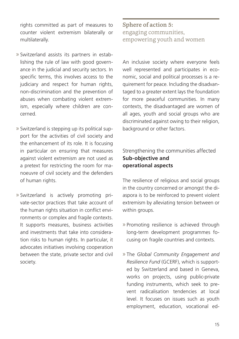<span id="page-14-0"></span>rights committed as part of measures to counter violent extremism bilaterally or multilaterally.

- » Switzerland assists its partners in establishing the rule of law with good governance in the judicial and security sectors. In specific terms, this involves access to the judiciary and respect for human rights, non-discrimination and the prevention of abuses when combating violent extremism, especially where children are concerned.
- » Switzerland is stepping up its political support for the activities of civil society and the enhancement of its role. It is focusing in particular on ensuring that measures against violent extremism are not used as a pretext for restricting the room for manoeuvre of civil society and the defenders of human rights.
- » Switzerland is actively promoting private-sector practices that take account of the human rights situation in conflict environments or complex and fragile contexts. It supports measures, business activities and investments that take into consideration risks to human rights. In particular, it advocates initiatives involving cooperation between the state, private sector and civil society.

Sphere of action 5: engaging communities, empowering youth and women

An inclusive society where everyone feels well represented and participates in economic, social and political processes is a requirement for peace. Including the disadvantaged to a greater extent lays the foundation for more peaceful communities. In many contexts, the disadvantaged are women of all ages, youth and social groups who are discriminated against owing to their religion, background or other factors.

Strengthening the communities affected **Sub-objective and operational aspects**

The resilience of religious and social groups in the country concerned or amongst the diaspora is to be reinforced to prevent violent extremism by alleviating tension between or within groups.

- » Promoting resilience is achieved through long-term development programmes focusing on fragile countries and contexts.
- » The *Global Community Engagement and Resilience Fund* (GCERF), which is supported by Switzerland and based in Geneva, works on projects, using public-private funding instruments, which seek to prevent radicalisation tendencies at local level. It focuses on issues such as youth employment, education, vocational ed-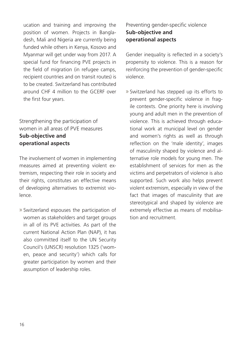ucation and training and improving the position of women. Projects in Bangladesh, Mali and Nigeria are currently being funded while others in Kenya, Kosovo and Myanmar will get under way from 2017. A special fund for financing PVE projects in the field of migration (in refugee camps, recipient countries and on transit routes) is to be created. Switzerland has contributed around CHF 4 million to the GCERF over the first four years.

#### Strengthening the participation of women in all areas of PVE measures **Sub-objective and operational aspects**

The involvement of women in implementing measures aimed at preventing violent extremism, respecting their role in society and their rights, constitutes an effective means of developing alternatives to extremist violence.

» Switzerland espouses the participation of women as stakeholders and target groups in all of its PVE activities. As part of the current National Action Plan (NAP), it has also committed itself to the UN Security Council's (UNSCR) resolution 1325 ('women, peace and security') which calls for greater participation by women and their assumption of leadership roles.

#### Preventing gender-specific violence **Sub-objective and operational aspects**

Gender inequality is reflected in a society's propensity to violence. This is a reason for reinforcing the prevention of gender-specific violence.

» Switzerland has stepped up its efforts to prevent gender-specific violence in fragile contexts. One priority here is involving young and adult men in the prevention of violence. This is achieved through educational work at municipal level on gender and women's rights as well as through reflection on the 'male identity', images of masculinity shaped by violence and alternative role models for young men. The establishment of services for men as the victims and perpetrators of violence is also supported. Such work also helps prevent violent extremism, especially in view of the fact that images of masculinity that are stereotypical and shaped by violence are extremely effective as means of mobilisation and recruitment.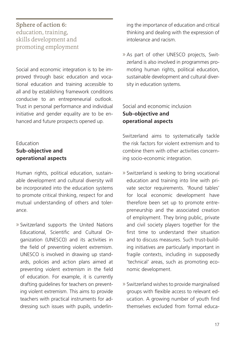#### <span id="page-16-0"></span>Sphere of action 6: education, training, skills development and promoting employment

Social and economic integration is to be improved through basic education and vocational education and training accessible to all and by establishing framework conditions conducive to an entrepreneurial outlook. Trust in personal performance and individual initiative and gender equality are to be enhanced and future prospects opened up.

#### Education **Sub-objective and operational aspects**

Human rights, political education, sustainable development and cultural diversity will be incorporated into the education systems to promote critical thinking, respect for and mutual understanding of others and tolerance.

» Switzerland supports the United Nations Educational, Scientific and Cultural Organization (UNESCO) and its activities in the field of preventing violent extremism. UNESCO is involved in drawing up standards, policies and action plans aimed at preventing violent extremism in the field of education. For example, it is currently drafting guidelines for teachers on preventing violent extremism. This aims to provide teachers with practical instruments for addressing such issues with pupils, underlining the importance of education and critical thinking and dealing with the expression of intolerance and racism.

» As part of other UNESCO projects, Switzerland is also involved in programmes promoting human rights, political education, sustainable development and cultural diversity in education systems.

#### Social and economic inclusion **Sub-objective and operational aspects**

Switzerland aims to systematically tackle the risk factors for violent extremism and to combine them with other activities concerning socio-economic integration.

- » Switzerland is seeking to bring vocational education and training into line with private sector requirements. 'Round tables' for local economic development have therefore been set up to promote entrepreneurship and the associated creation of employment. They bring public, private and civil society players together for the first time to understand their situation and to discuss measures. Such trust-building initiatives are particularly important in fragile contexts, including in supposedly 'technical' areas, such as promoting economic development.
- » Switzerland wishes to provide marginalised groups with flexible access to relevant education. A growing number of youth find themselves excluded from formal educa-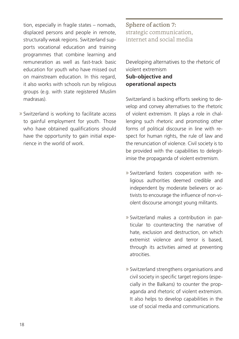<span id="page-17-0"></span>tion, especially in fragile states – nomads, displaced persons and people in remote, structurally weak regions. Switzerland supports vocational education and training programmes that combine learning and remuneration as well as fast-track basic education for youth who have missed out on mainstream education. In this regard, it also works with schools run by religious groups (e.g. with state registered Muslim madrasas).

» Switzerland is working to facilitate access to gainful employment for youth. Those who have obtained qualifications should have the opportunity to gain initial experience in the world of work.

Sphere of action 7: strategic communication, internet and social media

Developing alternatives to the rhetoric of violent extremism **Sub-objective and operational aspects**

Switzerland is backing efforts seeking to develop and convey alternatives to the rhetoric of violent extremism. It plays a role in challenging such rhetoric and promoting other forms of political discourse in line with respect for human rights, the rule of law and the renunciation of violence. Civil society is to be provided with the capabilities to delegitimise the propaganda of violent extremism.

- » Switzerland fosters cooperation with religious authorities deemed credible and independent by moderate believers or activists to encourage the influence of non-violent discourse amongst young militants.
- » Switzerland makes a contribution in particular to counteracting the narrative of hate, exclusion and destruction, on which extremist violence and terror is based, through its activities aimed at preventing atrocities.
- » Switzerland strengthens organisations and civil society in specific target regions (especially in the Balkans) to counter the propaganda and rhetoric of violent extremism. It also helps to develop capabilities in the use of social media and communications.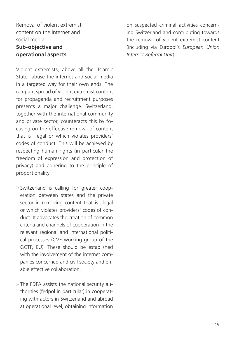Removal of violent extremist content on the internet and social media **Sub-objective and operational aspects**

Violent extremists, above all the 'Islamic State', abuse the internet and social media in a targeted way for their own ends. The rampant spread of violent extremist content for propaganda and recruitment purposes presents a major challenge. Switzerland, together with the international community and private sector, counteracts this by focusing on the effective removal of content that is illegal or which violates providers' codes of conduct. This will be achieved by respecting human rights (in particular the freedom of expression and protection of privacy) and adhering to the principle of proportionality.

- » Switzerland is calling for greater cooperation between states and the private sector in removing content that is illegal or which violates providers' codes of conduct. It advocates the creation of common criteria and channels of cooperation in the relevant regional and international political processes (CVE working group of the GCTF, EU). These should be established with the involvement of the internet companies concerned and civil society and enable effective collaboration.
- » The FDFA assists the national security authorities (fedpol in particular) in cooperating with actors in Switzerland and abroad at operational level, obtaining information

on suspected criminal activities concerning Switzerland and contributing towards the removal of violent extremist content (including via Europol's *European Union Internet Referral Unit*).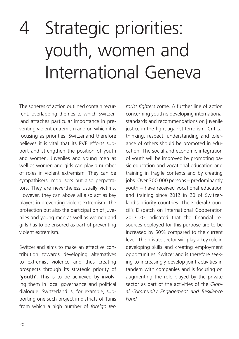## <span id="page-19-0"></span>4 Strategic priorities: youth, women and International Geneva

The spheres of action outlined contain recurrent, overlapping themes to which Switzerland attaches particular importance in preventing violent extremism and on which it is focusing as priorities. Switzerland therefore believes it is vital that its PVE efforts support and strengthen the position of youth and women. Juveniles and young men as well as women and girls can play a number of roles in violent extremism. They can be sympathisers, mobilisers but also perpetrators. They are nevertheless usually victims. However, they can above all also act as key players in preventing violent extremism. The protection but also the participation of juveniles and young men as well as women and girls has to be ensured as part of preventing violent extremism.

Switzerland aims to make an effective contribution towards developing alternatives to extremist violence and thus creating prospects through its strategic priority of **'youth'.** This is to be achieved by involving them in local governance and political dialogue. Switzerland is, for example, supporting one such project in districts of Tunis from which a high number of *foreign ter-* *rorist fighters* come. A further line of action concerning youth is developing international standards and recommendations on juvenile justice in the fight against terrorism. Critical thinking, respect, understanding and tolerance of others should be promoted in education. The social and economic integration of youth will be improved by promoting basic education and vocational education and training in fragile contexts and by creating jobs. Over 300,000 persons – predominantly youth – have received vocational education and training since 2012 in 20 of Switzerland's priority countries. The Federal Council's Dispatch on International Cooperation 2017–20 indicated that the financial resources deployed for this purpose are to be increased by 50% compared to the current level. The private sector will play a key role in developing skills and creating employment opportunities. Switzerland is therefore seeking to increasingly develop joint activities in tandem with companies and is focusing on augmenting the role played by the private sector as part of the activities of the *Global Community Engagement and Resilience Fund.*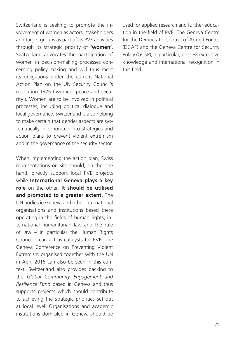Switzerland is seeking to promote the involvement of women as actors, stakeholders and target groups as part of its PVE activities through its strategic priority of **'women'.**  Switzerland advocates the participation of women in decision-making processes concerning policy-making and will thus meet its obligations under the current National Action Plan on the UN Security Council's resolution 1325 ('women, peace and security'). Women are to be involved in political processes, including political dialogue and local governance. Switzerland is also helping to make certain that gender aspects are systematically incorporated into strategies and action plans to prevent violent extremism and in the governance of the security sector.

When implementing the action plan, Swiss representations on site should, on the one hand, directly support local PVE projects while **International Geneva plays a key role** on the other. **It should be utilised and promoted to a greater extent.** The UN bodies in Geneva and other international organisations and institutions based there operating in the fields of human rights, international humanitarian law and the rule of law – in particular the Human Rights Council – can act as catalysts for PVE. The Geneva Conference on Preventing Violent Extremism organised together with the UN in April 2016 can also be seen in this context. Switzerland also provides backing to the *Global Community Engagement and Resilience Fund* based in Geneva and thus supports projects which should contribute to achieving the strategic priorities set out at local level. Organisations and academic institutions domiciled in Geneva should be

used for applied research and further education in the field of PVE. The Geneva Centre for the Democratic Control of Armed Forces (DCAF) and the Geneva Centre for Security Policy (GCSP), in particular, possess extensive knowledge and international recognition in this field.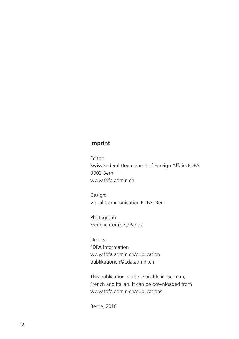#### **Imprint**

Editor: Swiss Federal Department of Foreign Affairs FDFA 3003 Bern www.fdfa.admin.ch

Design: Visual Communication FDFA, Bern

Photograph: Frederic Courbet/Panos

Orders: FDFA Information www.fdfa.admin.ch/publication publikationen@eda.admin.ch

This publication is also available in German, French and Italian. It can be downloaded from www.fdfa.admin.ch/publications.

Berne, 2016